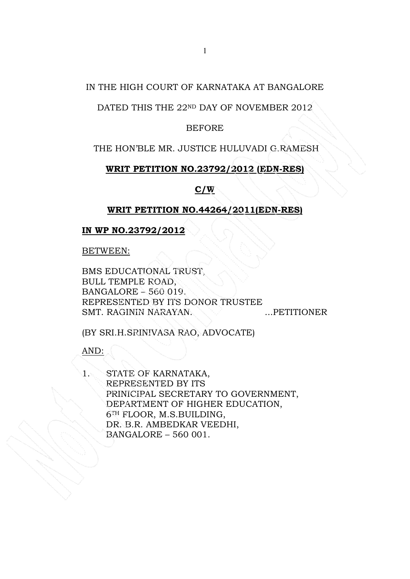## IN THE HIGH COURT OF KARNATAKA AT BANGALORE

# DATED THIS THE 22ND DAY OF NOVEMBER 2012

## BEFORE

## THE HON'BLE MR. JUSTICE HULUVADI G.RAMESH

### WRIT PETITION NO.23792/2012 (EDN-RES)

### $C/W$

### WRIT PETITION NO.44264/2011(EDN-RES)

## IN WP NO.23792/2012

BETWEEN:

BMS EDUCATIONAL TRUST, BULL TEMPLE ROAD, BANGALORE – 560 019. REPRESENTED BY ITS DONOR TRUSTEE SMT. RAGININ NARAYAN. ...PETITIONER

(BY SRI.H.SRINIVASA RAO, ADVOCATE)

AND:

STATE OF KARNATAKA, REPRESENTED BY ITS PRINICIPAL SECRETARY TO GOVERNMENT, DEPARTMENT OF HIGHER EDUCATION, 6TH FLOOR, M.S.BUILDING, DR. B.R. AMBEDKAR VEEDHI, BANGALORE – 560 001.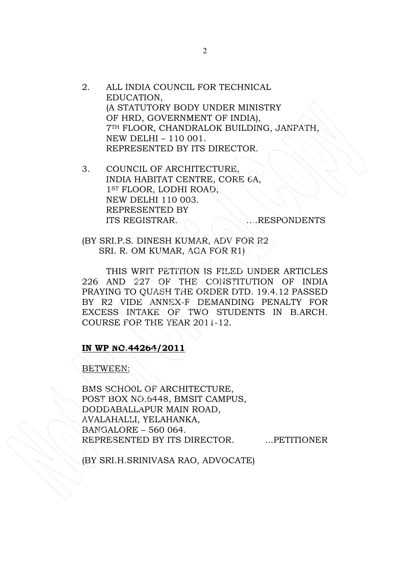- 2. ALL INDIA COUNCIL FOR TECHNICAL EDUCATION, (A STATUTORY BODY UNDER MINISTRY OF HRD, GOVERNMENT OF INDIA), 7TH FLOOR, CHANDRALOK BUILDING, JANPATH, NEW DELHI – 110 001. REPRESENTED BY ITS DIRECTOR.
- 3. COUNCIL OF ARCHITECTURE, INDIA HABITAT CENTRE, CORE 6A, 1ST FLOOR, LODHI ROAD, NEW DELHI 110 003. REPRESENTED BY ITS REGISTRAR. A MILL RESPONDENTS

(BY SRI.P.S. DINESH KUMAR, ADV FOR R2 SRI. R. OM KUMAR, AGA FOR R1)

THIS WRIT PETITION IS FILED UNDER ARTICLES 226 AND 227 OF THE CONSTITUTION OF INDIA PRAYING TO QUASH THE ORDER DTD. 19.4.12 PASSED BY R2 VIDE ANNEX-F DEMANDING PENALTY FOR EXCESS INTAKE OF TWO STUDENTS IN B.ARCH. COURSE FOR THE YEAR 2011-12.

### IN WP NO.44264/2011

#### BETWEEN:

BMS SCHO0L OF ARCHITECTURE, POST BOX NO.6448, BMSIT CAMPUS, DODDABALLAPUR MAIN ROAD, AVALAHALLI, YELAHANKA, BANGALORE – 560 064. REPRESENTED BY ITS DIRECTOR. ... PETITIONER

(BY SRI.H.SRINIVASA RAO, ADVOCATE)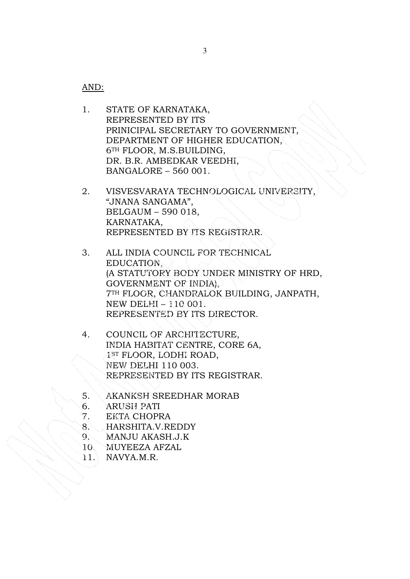AND:

- 1. STATE OF KARNATAKA, REPRESENTED BY ITS PRINICIPAL SECRETARY TO GOVERNMENT, DEPARTMENT OF HIGHER EDUCATION, 6TH FLOOR, M.S.BUILDING, DR. B.R. AMBEDKAR VEEDHI, BANGALORE – 560 001.
- 2. VISVESVARAYA TECHNOLOGICAL UNIVERSITY, "JNANA SANGAMA", BELGAUM – 590 018, KARNATAKA, REPRESENTED BY ITS REGISTRAR.
- 3. ALL INDIA COUNCIL FOR TECHNICAL EDUCATION, (A STATUTORY BODY UNDER MINISTRY OF HRD, GOVERNMENT OF INDIA), 7TH FLOOR, CHANDRALOK BUILDING, JANPATH, NEW DELHI – 110 001. REPRESENTED BY ITS DIRECTOR.
- 4. COUNCIL OF ARCHITECTURE, INDIA HABITAT CENTRE, CORE 6A, 1ST FLOOR, LODHI ROAD, NEW DELHI 110 003. REPRESENTED BY ITS REGISTRAR.
- 5. AKANKSH SREEDHAR MORAB
- 6. ARUSH PATI
- 7. EKTA CHOPRA
- 8. HARSHITA.V.REDDY
- 9. MANJU AKASH.J.K
- 10. MUYEEZA AFZAL
- 11. NAVYA.M.R.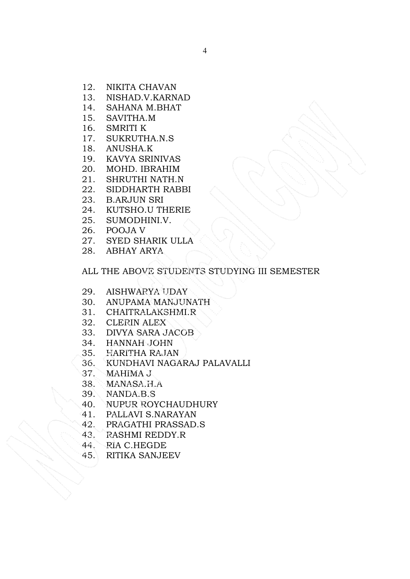- 12. NIKITA CHAVAN
- 13. NISHAD.V.KARNAD
- 14. SAHANA M.BHAT
- 15. SAVITHA.M
- 16. SMRITI K
- 17. SUKRUTHA.N.S
- 18. ANUSHA.K
- 19. KAVYA SRINIVAS
- 20. MOHD. IBRAHIM
- 21. SHRUTHI NATH.N
- 22. SIDDHARTH RABBI
- 23. B.ARJUN SRI
- 24. KUTSHO.U THERIE
- 25. SUMODHINI.V.
- 26. POOJA V
- 27. SYED SHARIK ULLA
- 28. ABHAY ARYA

# ALL THE ABOVE STUDENTS STUDYING III SEMESTER

- 29. AISHWARYA UDAY
- 30. ANUPAMA MANJUNATH
- 31. CHAITRALAKSHMI.R
- 32. CLERIN ALEX
- 33. DIVYA SARA JACOB
- 34. HANNAH JOHN
- 35. HARITHA RAJAN
- 36. KUNDHAVI NAGARAJ PALAVALLI
- 37. MAHIMA J
- 38. MANASA.H.A
- 39. NANDA.B.S
- 40. NUPUR ROYCHAUDHURY
- 41. PALLAVI S.NARAYAN
- 42. PRAGATHI PRASSAD.S
- 43. RASHMI REDDY.R
- 44. RIA C.HEGDE
- 45. RITIKA SANJEEV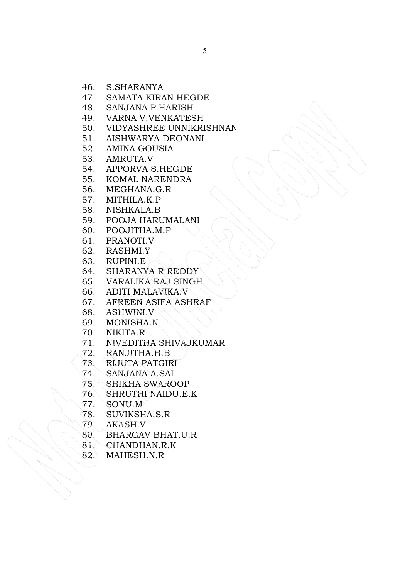- 46. S.SHARANYA
- 47. SAMATA KIRAN HEGDE
- 48. SANJANA P.HARISH
- 49. VARNA V.VENKATESH
- 50. VIDYASHREE UNNIKRISHNAN
- 51. AISHWARYA DEONANI
- 52. AMINA GOUSIA
- 53. AMRUTA.V
- 54. APPORVA S.HEGDE
- 55. KOMAL NARENDRA
- 56. MEGHANA.G.R
- 57. MITHILA.K.P
- 58. NISHKALA.B
- 59. POOJA HARUMALANI
- 60. POOJITHA.M.P
- 61. PRANOTI.V
- 62. RASHMI.Y
- 63. RUPINI.E
- 64. SHARANYA R REDDY
- 65. VARALIKA RAJ SINGH
- 66. ADITI MALAVIKA.V
- 67. AFREEN ASIFA ASHRAF
- 68. ASHWINI.V
- 69. MONISHA.N
- 70. NIKITA.R
- 71. NIVEDITHA SHIVAJKUMAR
- 72. RANJITHA.H.B
- 73. RIJUTA PATGIRI
- 74. SANJANA A.SAI
- 75. SHIKHA SWAROOP
- 76. SHRUTHI NAIDU.E.K
- 77. SONU.M
- 78. SUVIKSHA.S.R
- 79. AKASH.V
- 80. BHARGAV BHAT.U.R
- 81. CHANDHAN.R.K
- 82. MAHESH.N.R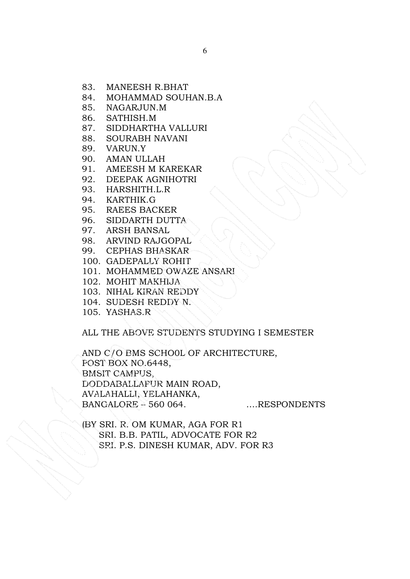- 83. MANEESH R.BHAT
- 84. MOHAMMAD SOUHAN.B.A
- 85. NAGARJUN.M
- 86. SATHISH.M
- 87. SIDDHARTHA VALLURI
- 88. SOURABH NAVANI
- 89. VARUN.Y
- 90. AMAN ULLAH
- 91. AMEESH M KAREKAR
- 92. DEEPAK AGNIHOTRI
- 93. HARSHITH.L.R
- 94. KARTHIK.G
- 95. RAEES BACKER
- 96. SIDDARTH DUTTA
- 97. ARSH BANSAL
- 98. ARVIND RAJGOPAL
- 99. CEPHAS BHASKAR
- 100. GADEPALLY ROHIT
- 101. MOHAMMED OWAZE ANSARI
- 102. MOHIT MAKHIJA
- 103. NIHAL KIRAN REDDY
- 104. SUDESH REDDY N.
- 105. YASHAS.R

# ALL THE ABOVE STUDENTS STUDYING I SEMESTER

AND C/O BMS SCHO0L OF ARCHITECTURE, POST BOX NO.6448, BMSIT CAMPUS, DODDABALLAPUR MAIN ROAD, AVALAHALLI, YELAHANKA, BANGALORE – 560 064. ....RESPONDENTS

(BY SRI. R. OM KUMAR, AGA FOR R1 SRI. B.B. PATIL, ADVOCATE FOR R2 SRI. P.S. DINESH KUMAR, ADV. FOR R3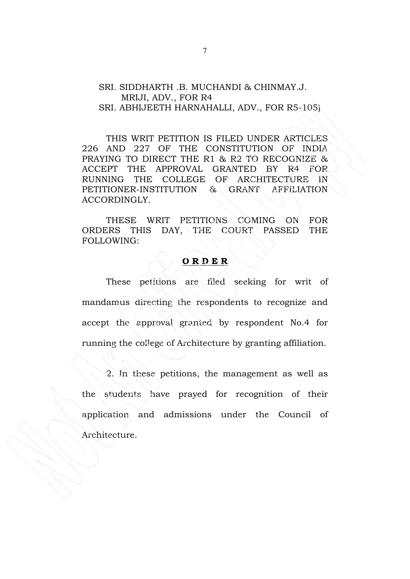#### SRI. SIDDHARTH .B. MUCHANDI & CHINMAY.J. MRIJI, ADV., FOR R4 SRI. ABHIJEETH HARNAHALLI, ADV., FOR R5-105)

THIS WRIT PETITION IS FILED UNDER ARTICLES 226 AND 227 OF THE CONSTITUTION OF INDIA PRAYING TO DIRECT THE R1 & R2 TO RECOGNIZE & ACCEPT THE APPROVAL GRANTED BY R4 FOR RUNNING THE COLLEGE OF ARCHITECTURE IN PETITIONER-INSTITUTION & GRANT AFFILIATION ACCORDINGLY.

THESE WRIT PETITIONS COMING ON FOR ORDERS THIS DAY, THE COURT PASSED THE FOLLOWING:

#### O R D E R

 These petitions are filed seeking for writ of mandamus directing the respondents to recognize and accept the approval granted by respondent No.4 for running the college of Architecture by granting affiliation.

 2. In these petitions, the management as well as the students have prayed for recognition of their application and admissions under the Council of Architecture.

ζ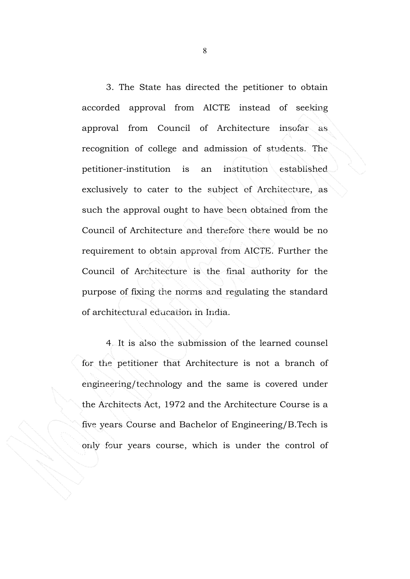3. The State has directed the petitioner to obtain accorded approval from AICTE instead of seeking approval from Council of Architecture insofar as recognition of college and admission of students. The petitioner-institution is an institution established exclusively to cater to the subject of Architecture, as such the approval ought to have been obtained from the Council of Architecture and therefore there would be no requirement to obtain approval from AICTE. Further the Council of Architecture is the final authority for the purpose of fixing the norms and regulating the standard of architectural education in India.

4. It is also the submission of the learned counsel for the petitioner that Architecture is not a branch of engineering/technology and the same is covered under the Architects Act, 1972 and the Architecture Course is a five years Course and Bachelor of Engineering/B.Tech is only four years course, which is under the control of

8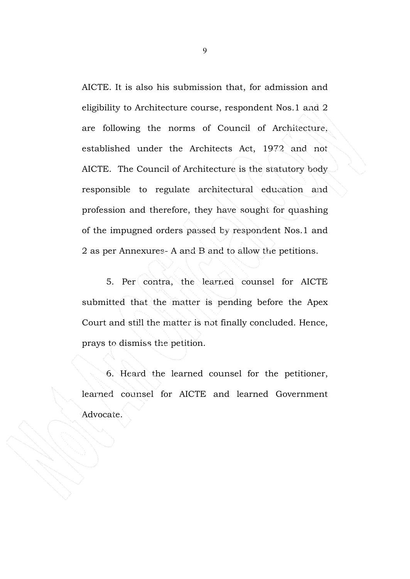AICTE. It is also his submission that, for admission and eligibility to Architecture course, respondent Nos.1 and 2 are following the norms of Council of Architecture, established under the Architects Act, 1972 and not AICTE. The Council of Architecture is the statutory body responsible to regulate architectural education and profession and therefore, they have sought for quashing of the impugned orders passed by respondent Nos.1 and 2 as per Annexures- A and B and to allow the petitions.

 5. Per contra, the learned counsel for AICTE submitted that the matter is pending before the Apex Court and still the matter is not finally concluded. Hence, prays to dismiss the petition.

 6. Heard the learned counsel for the petitioner, learned counsel for AICTE and learned Government Advocate.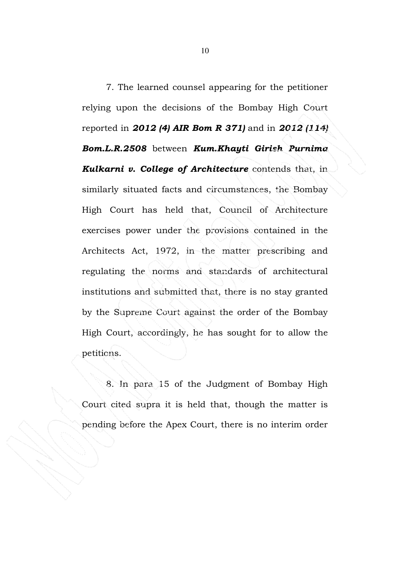7. The learned counsel appearing for the petitioner relying upon the decisions of the Bombay High Court reported in 2012 (4) AIR Bom R 371) and in 2012 (114) Bom.L.R.2508 between Kum.Khayti Girish Purnima **Kulkarni v. College of Architecture** contends that, in similarly situated facts and circumstances, the Bombay High Court has held that, Council of Architecture exercises power under the provisions contained in the Architects Act, 1972, in the matter prescribing and regulating the norms and standards of architectural institutions and submitted that, there is no stay granted by the Supreme Court against the order of the Bombay High Court, accordingly, he has sought for to allow the petitions.

 8. In para 15 of the Judgment of Bombay High Court cited supra it is held that, though the matter is pending before the Apex Court, there is no interim order